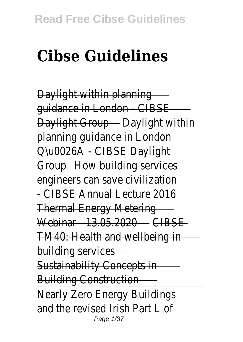## **Cibse Guidelines**

Daylight within planning guidance in London - CIBSE Daylight Group - Daylight within planning guidance in London Q\u0026A - CIBSE Daylight Group How building services engineers can save civilization - CIBSE Annual Lecture 2016 Thermal Energy Metering Webinar - 13.05.2020 CIBSE TM40: Health and wellbeing in building services Sustainability Concepts in Building Construction Nearly Zero Energy Buildings and the revised Irish Part L of Page 1/37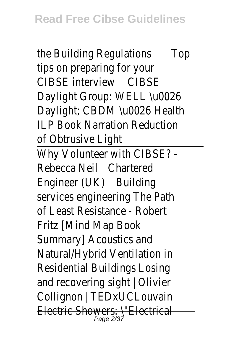the Building Regulations Top tips on preparing for your CIBSE interview CIBSE Daylight Group: WELL \u0026 Daylight; CBDM \u0026 Health ILP Book Narration Reduction of Obtrusive Light Why Volunteer with CIBSE? - Rebecca Neil Chartered Engineer (UK) Building services engineering The Path of Least Resistance - Robert Fritz [Mind Map Book Summary] Acoustics and Natural/Hybrid Ventilation in Residential Buildings Losing and recovering sight | Olivier Collignon | TEDxUCLouvain Electric Showers: \"Electrical Page 2/37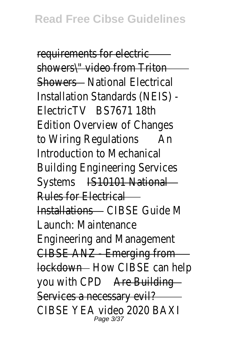requirements for electric showers\" video from Triton Showers - National Flectrical Installation Standards (NEIS) - ElectricTV BS7671 18th Edition Overview of Changes to Wiring Regulations An Introduction to Mechanical Building Engineering Services Systems IS10101 National Rules for Electrical Installations CIBSE Guide M Launch: Maintenance Engineering and Management CIBSE ANZ - Emerging from lockdown – How CIBSE can help you with CPD Are Building Services a necessary evil? CIBSE YEA video 2020 BAXI Page 3/37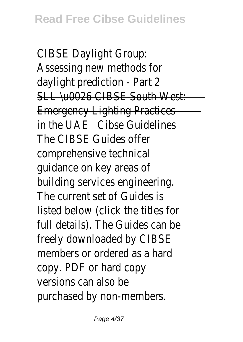CIBSE Daylight Group: Assessing new methods for daylight prediction - Part 2 SLL \u0026 CIBSE South West: Emergency Lighting Practices in the UAE - Cibse Guidelines The CIBSE Guides offer comprehensive technical guidance on key areas of building services engineering. The current set of Guides is listed below (click the titles for full details). The Guides can be freely downloaded by CIBSE members or ordered as a hard copy. PDF or hard copy versions can also be purchased by non-members.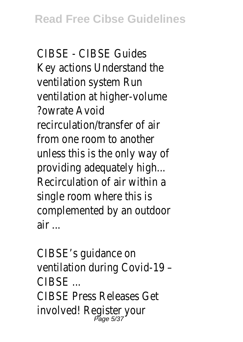CIBSE - CIBSE Guides Key actions Understand the ventilation system Run ventilation at higher-volume ?owrate Avoid recirculation/transfer of air from one room to another unless this is the only way of providing adequately high... Recirculation of air within a single room where this is complemented by an outdoor air ...

CIBSE's guidance on ventilation during Covid-19 –  $CIBSF$ CIBSE Press Releases Get involved! Register your Page 5/37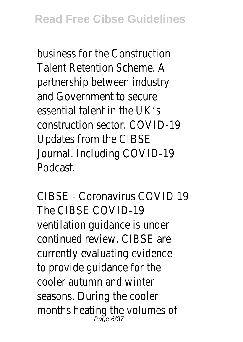business for the Construction Talent Retention Scheme. A partnership between industry and Government to secure essential talent in the UK's construction sector. COVID-19 Updates from the CIBSE Journal. Including COVID-19 Podcast.

CIBSE - Coronavirus COVID 19 The CIBSE COVID-19 ventilation guidance is under continued review. CIBSE are currently evaluating evidence to provide guidance for the cooler autumn and winter seasons. During the cooler months heating the volumes of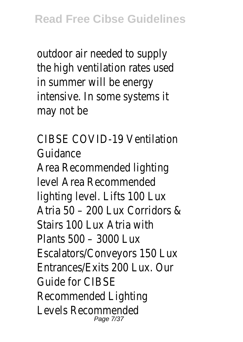outdoor air needed to supply the high ventilation rates used in summer will be energy intensive. In some systems it may not be

CIBSE COVID-19 Ventilation Guidance Area Recommended lighting level Area Recommended lighting level. Lifts 100 Lux Atria 50 – 200 Lux Corridors & Stairs 100 Lux Atria with Plants 500 – 3000 Lux Escalators/Conveyors 150 Lux Entrances/Exits 200 Lux. Our Guide for CIBSE Recommended Lighting Levels Recommended Page 7/37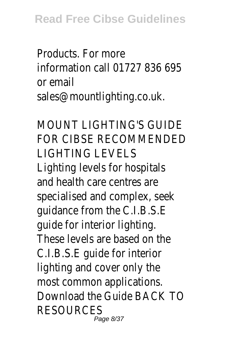Products. For more information call 01727 836 695 or email sales@mountlighting.co.uk.

MOUNT LIGHTING'S GUIDE FOR CIBSE RECOMMENDED LIGHTING LEVELS Lighting levels for hospitals and health care centres are specialised and complex, seek guidance from the C.I.B.S.E guide for interior lighting. These levels are based on the C.I.B.S.E guide for interior lighting and cover only the most common applications. Download the Guide BACK TO RESOURCES Page 8/37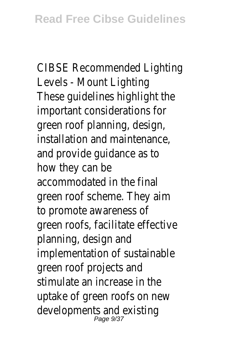CIBSE Recommended Lighting Levels - Mount Lighting These guidelines highlight the important considerations for green roof planning, design, installation and maintenance, and provide guidance as to how they can be accommodated in the final green roof scheme. They aim to promote awareness of green roofs, facilitate effective planning, design and implementation of sustainable green roof projects and stimulate an increase in the uptake of green roofs on new developments and existing Page 9/37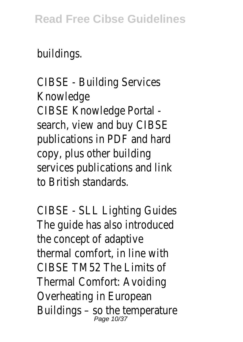## **Read Free Cibse Guidelines**

## buildings.

CIBSE - Building Services Knowledge CIBSE Knowledge Portal search, view and buy CIBSE publications in PDF and hard copy, plus other building services publications and link to British standards.

CIBSE - SLL Lighting Guides The guide has also introduced the concept of adaptive thermal comfort, in line with CIBSE TM52 The Limits of Thermal Comfort: Avoiding Overheating in European Buildings - so the temperature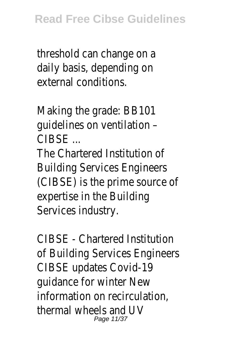threshold can change on a daily basis, depending on external conditions.

Making the grade: BB101 guidelines on ventilation –  $CIRSE$ 

The Chartered Institution of Building Services Engineers (CIBSE) is the prime source of expertise in the Building Services industry.

CIBSE - Chartered Institution of Building Services Engineers CIBSE updates Covid-19 guidance for winter New information on recirculation, thermal wheels and UV Page 11/37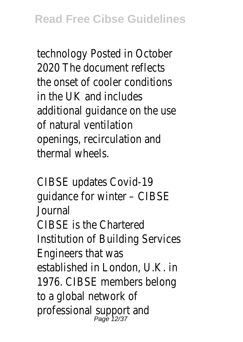technology Posted in October 2020 The document reflects the onset of cooler conditions in the UK and includes additional guidance on the use of natural ventilation openings, recirculation and thermal wheels.

CIBSE updates Covid-19 guidance for winter – CIBSE Journal CIBSE is the Chartered Institution of Building Services Engineers that was established in London, U.K. in 1976. CIBSE members belong to a global network of professional support and Page 12/37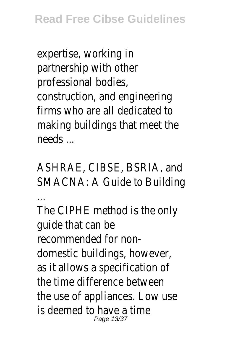expertise, working in partnership with other professional bodies, construction, and engineering firms who are all dedicated to making buildings that meet the needs ...

ASHRAE, CIBSE, BSRIA, and SMACNA: A Guide to Building

...

The CIPHE method is the only guide that can be recommended for nondomestic buildings, however, as it allows a specification of the time difference between the use of appliances. Low use is deemed to have a time Page 13/37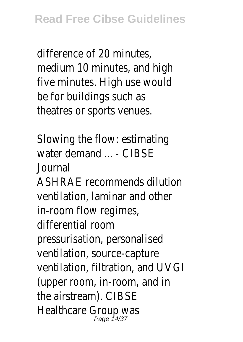difference of 20 minutes, medium 10 minutes, and high five minutes. High use would be for buildings such as theatres or sports venues.

Slowing the flow: estimating water demand ... - CIBSE Journal ASHRAE recommends dilution ventilation, laminar and other in-room flow regimes, differential room pressurisation, personalised ventilation, source-capture ventilation, filtration, and UVGI (upper room, in-room, and in the airstream). CIBSE Healthcare Group was Page 14/37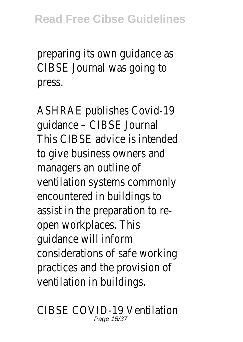preparing its own guidance as CIBSE Journal was going to press.

ASHRAE publishes Covid-19 guidance – CIBSE Journal This CIBSE advice is intended to give business owners and managers an outline of ventilation systems commonly encountered in buildings to assist in the preparation to reopen workplaces. This guidance will inform considerations of safe working practices and the provision of ventilation in buildings.

CIBSE COVID-19 Ventilation Page 15/37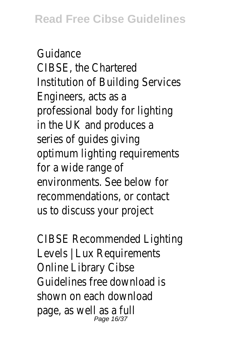Guidance CIBSE, the Chartered Institution of Building Services Engineers, acts as a professional body for lighting in the UK and produces a series of guides giving optimum lighting requirements for a wide range of environments. See below for recommendations, or contact us to discuss your project

CIBSE Recommended Lighting Levels | Lux Requirements Online Library Cibse Guidelines free download is shown on each download page, as well as a full Page 16/37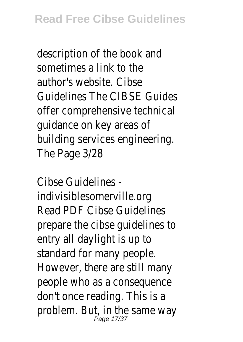description of the book and sometimes a link to the author's website. Cibse Guidelines The CIBSE Guides offer comprehensive technical guidance on key areas of building services engineering. The Page 3/28

Cibse Guidelines indivisiblesomerville.org Read PDF Cibse Guidelines prepare the cibse guidelines to entry all daylight is up to standard for many people. However, there are still many people who as a consequence don't once reading. This is a problem. But, in the same way Page 17/37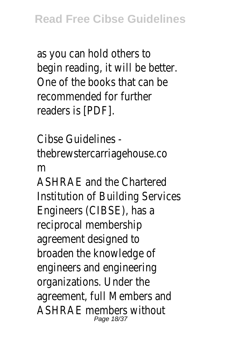as you can hold others to begin reading, it will be better. One of the books that can be recommended for further readers is [PDF].

Cibse Guidelines thebrewstercarriagehouse.co m ASHRAE and the Chartered

Institution of Building Services Engineers (CIBSE), has a reciprocal membership agreement designed to broaden the knowledge of engineers and engineering organizations. Under the agreement, full Members and ASHRAE members without Page 18/37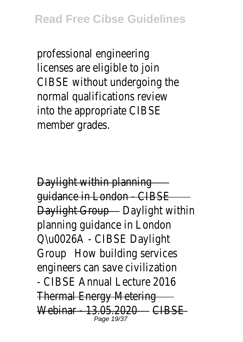professional engineering licenses are eligible to join CIBSE without undergoing the normal qualifications review into the appropriate CIBSE member grades.

Daylight within planning guidance in London - CIBSE Daylight Group - Daylight within planning guidance in London Q\u0026A - CIBSE Daylight Group How building services engineers can save civilization - CIBSE Annual Lecture 2016 Thermal Energy Metering Webinar - 13.05.2020 - CIBSE Page 19/37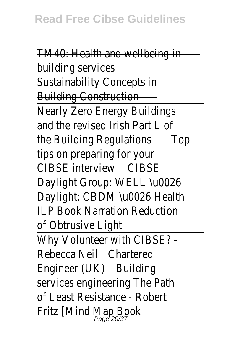TM40: Health and wellbeing in building services Sustainability Concepts in Building Construction Nearly Zero Energy Buildings and the revised Irish Part L of the Building Regulations Top tips on preparing for your CIBSE interview CIBSE Daylight Group: WELL \u0026 Daylight; CBDM \u0026 Health ILP Book Narration Reduction of Obtrusive Light Why Volunteer with CIBSE? - Rebecca Neil Chartered Engineer (UK) Building services engineering The Path of Least Resistance - Robert Fritz [Mind Map Book Page 20/37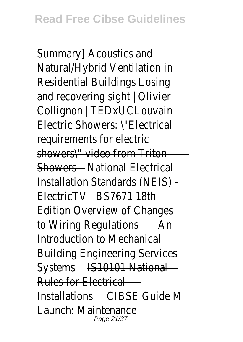Summary] Acoustics and Natural/Hybrid Ventilation in Residential Buildings Losing and recovering sight | Olivier Collignon | TEDxUCLouvain Electric Showers: \"Electrical requirements for electric showers\" video from Triton Showers - National Electrical Installation Standards (NEIS) - ElectricTV BS7671 18th Edition Overview of Changes to Wiring Regulations An Introduction to Mechanical Building Engineering Services Systems IS10101 National Rules for Electrical Installations CIBSE Guide M Launch: Maintenance Page 21/37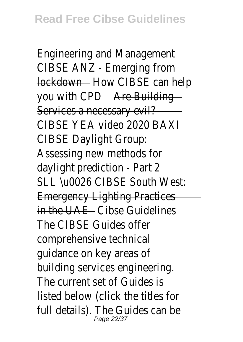Engineering and Management CIBSE ANZ - Emerging from lockdown - How CIBSE can help you with CPD Are Building Services a necessary evil? CIBSE YEA video 2020 BAXI CIBSE Daylight Group: Assessing new methods for daylight prediction - Part 2 SLL \u0026 CIBSE South West: Emergency Lighting Practices in the UAE - Cibse Guidelines The CIBSE Guides offer comprehensive technical guidance on key areas of building services engineering. The current set of Guides is listed below (click the titles for full details). The Guides can be<br>Page 22/37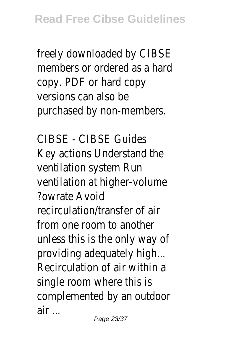freely downloaded by CIBSE members or ordered as a hard copy. PDF or hard copy versions can also be purchased by non-members.

CIBSE - CIBSE Guides Key actions Understand the ventilation system Run ventilation at higher-volume ?owrate Avoid recirculation/transfer of air from one room to another unless this is the only way of providing adequately high... Recirculation of air within a single room where this is complemented by an outdoor air ...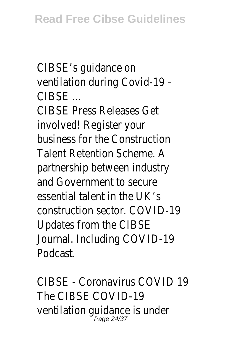CIBSE's guidance on ventilation during Covid-19 –  $C$ IRSE  $\overline{\phantom{a}}$ CIBSE Press Releases Get involved! Register your business for the Construction Talent Retention Scheme. A partnership between industry and Government to secure essential talent in the UK's construction sector. COVID-19 Updates from the CIBSE Journal. Including COVID-19 Podcast.

CIBSE - Coronavirus COVID 19 The CIBSE COVID-19 ventilation guidance is under<br>Page 24/37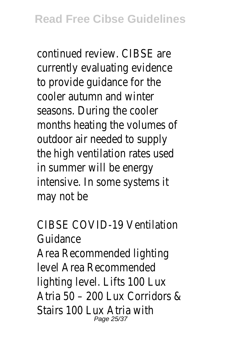continued review. CIBSE are currently evaluating evidence to provide guidance for the cooler autumn and winter seasons. During the cooler months heating the volumes of outdoor air needed to supply the high ventilation rates used in summer will be energy intensive. In some systems it may not be

CIBSE COVID-19 Ventilation Guidance Area Recommended lighting level Area Recommended lighting level. Lifts 100 Lux Atria 50 – 200 Lux Corridors & Stairs 100 Lux Atria with Page 25/37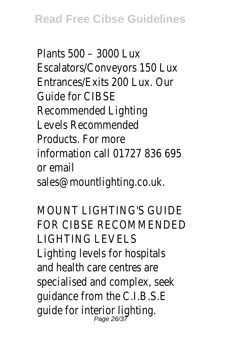Plants 500 – 3000 Lux Escalators/Conveyors 150 Lux Entrances/Exits 200 Lux. Our Guide for CIBSE Recommended Lighting Levels Recommended Products. For more information call 01727 836 695 or email sales@mountlighting.co.uk.

MOUNT LIGHTING'S GUIDE FOR CIBSE RECOMMENDED LIGHTING LEVELS Lighting levels for hospitals and health care centres are specialised and complex, seek guidance from the C.I.B.S.E guide for interior lighting.<br>Page 26/37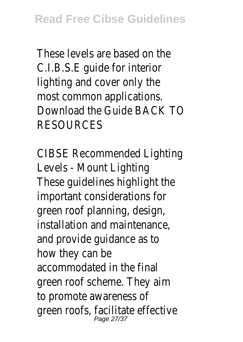These levels are based on the C.I.B.S.E guide for interior lighting and cover only the most common applications. Download the Guide BACK TO **RESOURCES** 

CIBSE Recommended Lighting Levels - Mount Lighting These guidelines highlight the important considerations for green roof planning, design, installation and maintenance, and provide guidance as to how they can be accommodated in the final green roof scheme. They aim to promote awareness of green roofs, facilitate effective<br>Page 27/37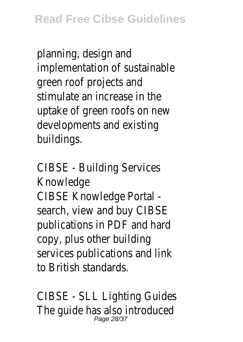planning, design and implementation of sustainable green roof projects and stimulate an increase in the uptake of green roofs on new developments and existing buildings.

CIBSE - Building Services Knowledge CIBSE Knowledge Portal search, view and buy CIBSE publications in PDF and hard copy, plus other building services publications and link to British standards.

CIBSE - SLL Lighting Guides The guide has also introduced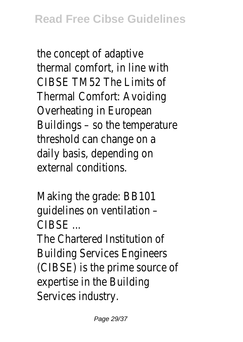the concept of adaptive thermal comfort, in line with CIBSE TM52 The Limits of Thermal Comfort: Avoiding Overheating in European Buildings – so the temperature threshold can change on a daily basis, depending on external conditions.

Making the grade: BB101 guidelines on ventilation – CIBSE ...

The Chartered Institution of Building Services Engineers (CIBSE) is the prime source of expertise in the Building Services industry.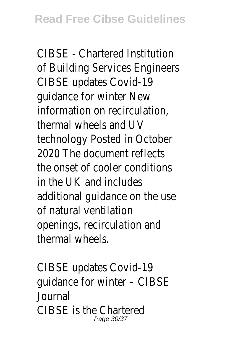CIBSE - Chartered Institution of Building Services Engineers CIBSE updates Covid-19 guidance for winter New information on recirculation, thermal wheels and UV technology Posted in October 2020 The document reflects the onset of cooler conditions in the UK and includes additional guidance on the use of natural ventilation openings, recirculation and thermal wheels.

CIBSE updates Covid-19 guidance for winter – CIBSE Journal CIBSE is the Chartered Page 30/37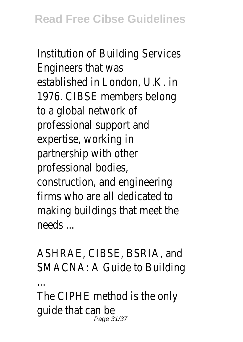Institution of Building Services Engineers that was established in London, U.K. in 1976. CIBSE members belong to a global network of professional support and expertise, working in partnership with other professional bodies, construction, and engineering firms who are all dedicated to making buildings that meet the needs ...

ASHRAE, CIBSE, BSRIA, and SMACNA: A Guide to Building

...

The CIPHE method is the only guide that can be Page 31/37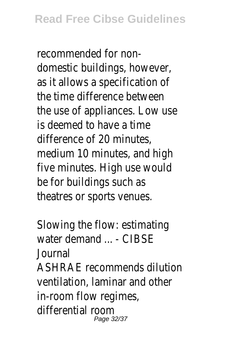recommended for nondomestic buildings, however, as it allows a specification of the time difference between the use of appliances. Low use is deemed to have a time difference of 20 minutes, medium 10 minutes, and high five minutes. High use would be for buildings such as theatres or sports venues.

Slowing the flow: estimating water demand ... - CIBSF Journal ASHRAE recommends dilution ventilation, laminar and other in-room flow regimes, differential room Page 32/37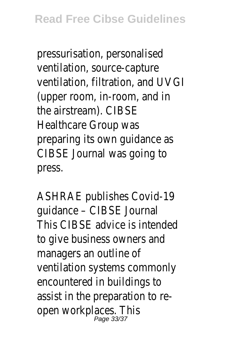pressurisation, personalised ventilation, source-capture ventilation, filtration, and UVGI (upper room, in-room, and in the airstream). CIBSE Healthcare Group was preparing its own guidance as CIBSE Journal was going to press.

ASHRAE publishes Covid-19 guidance – CIBSE Journal This CIBSE advice is intended to give business owners and managers an outline of ventilation systems commonly encountered in buildings to assist in the preparation to reopen workplaces. This<br>Page 33/37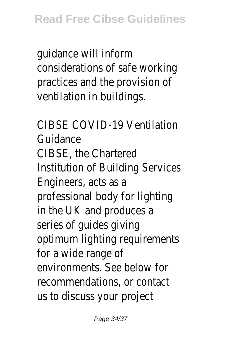guidance will inform considerations of safe working practices and the provision of ventilation in buildings.

CIBSE COVID-19 Ventilation Guidance CIBSE, the Chartered Institution of Building Services Engineers, acts as a professional body for lighting in the UK and produces a series of guides giving optimum lighting requirements for a wide range of environments. See below for recommendations, or contact us to discuss your project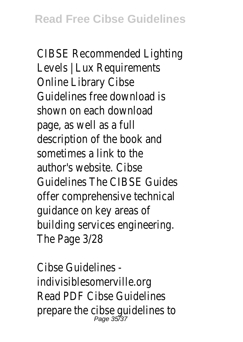CIBSE Recommended Lighting Levels | Lux Requirements Online Library Cibse Guidelines free download is shown on each download page, as well as a full description of the book and sometimes a link to the author's website. Cibse Guidelines The CIBSE Guides offer comprehensive technical guidance on key areas of building services engineering. The Page 3/28

Cibse Guidelines indivisiblesomerville.org Read PDF Cibse Guidelines prepare the cibse guidelines to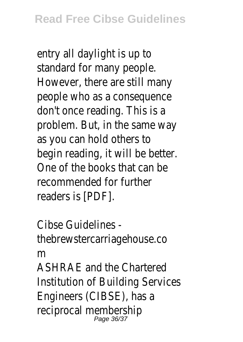entry all daylight is up to standard for many people. However, there are still many people who as a consequence don't once reading. This is a problem. But, in the same way as you can hold others to begin reading, it will be better. One of the books that can be recommended for further readers is [PDF].

Cibse Guidelines thebrewstercarriagehouse.co m ASHRAE and the Chartered Institution of Building Services Engineers (CIBSE), has a reciprocal membership<br>Page 36/37